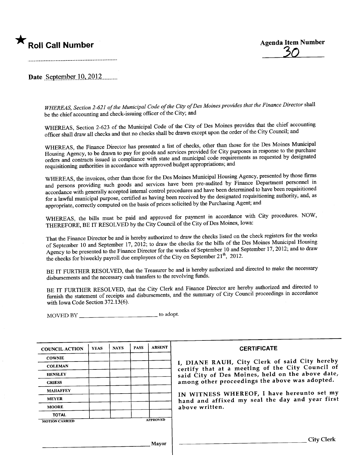



Date September  $10,2012$ .........

WHEREAS, Section 2-621 of the Municipal Code of the City of Des Moines provides that the Finance Director shall be the chief accounting and check-issuing officer of the City; and

WHEREAS, Section 2-623 of the Municipal Code of the City of Des Moines provides that the chief accounting officer shall draw all checks and that no checks shall be drawn except upon the order of the City Council; and

WHEREAS, the Finance Director has presented a list of checks, other than those for the Des Moines Municipal Housing Agency, to be drawn to pay for goods and services provided for City purposes in response to the purchase orders and contracts issued in compliance with state and muncipal code requirements as requested by designated requisitioning authorities in accordance with approved budget appropriations; and

WHEREAS, the invoices, other than those for the Des Moines Municipal Housing Agency, presented by those firms and persons providing such goods and services have been pre-audited by Finance Department personnel in accordance with generally accepted internal control procedures and have been determned to have been requisitioned for a lawful municipal purpose, certified as having been received by the designated requisitioning authority, and, as appropriate, correctly computed on the basis of prices solicited by the Purchasing Agent; and

WHEREAS, the bils must be paid and approved for payment in accordace with City procedures. NOW, THEREFORE, BE IT RESOLVED by the City Council of the City of Des Moines, Iowa:

That the Finance Director be and is hereby authorized to draw the checks listed on the check registers for the weeks of September 10 and September 17, 2012; to draw the checks for the bils of the Des Moines Municipal Housing Agency to be presented to the Finance Director for the weeks of September 10 and September 17, 2012; and to draw the checks for biweekly payroll due employees of the City on September  $21^{th}$ , 2012.

BE IT FURTHER RESOLVED, that the Treasurer be and is hereby authorized and directed to make the necessary disbursements and the necessary cash transfers to the revolving fuds.

BE IT FURTHER RESOLVED, that the City Clerk and Finance Director are hereby authorized and directed to furnish the statement of receipts and disbursements, and the summary of City Council proceedings in accordance with Iowa Code Section 372.13(6).

MOVED BY \_\_\_\_\_\_\_\_\_\_\_\_\_\_\_\_\_\_\_\_\_\_\_\_\_\_\_\_\_\_\_\_\_\_ to adopt.

| <b>COUNCIL ACTION</b> | <b>YEAS</b> | <b>NAYS</b> | <b>PASS</b> | <b>ABSENT</b>   | <b>CERTIFICATE</b>                                                                                |  |  |  |
|-----------------------|-------------|-------------|-------------|-----------------|---------------------------------------------------------------------------------------------------|--|--|--|
| <b>COWNIE</b>         |             |             |             |                 |                                                                                                   |  |  |  |
| <b>COLEMAN</b>        |             |             |             |                 | I, DIANE RAUH, City Clerk of said City hereby<br>certify that at a meeting of the City Council of |  |  |  |
| <b>HENSLEY</b>        |             |             |             |                 | said City of Des Moines, held on the above date,                                                  |  |  |  |
| <b>GRIESS</b>         |             |             |             |                 | among other proceedings the above was adopted.                                                    |  |  |  |
| <b>MAHAFFEY</b>       |             |             |             |                 | IN WITNESS WHEREOF, I have hereunto set my                                                        |  |  |  |
| <b>MEYER</b>          |             |             |             |                 | hand and affixed my seal the day and year first                                                   |  |  |  |
| <b>MOORE</b>          |             |             |             |                 | above written.                                                                                    |  |  |  |
| <b>TOTAL</b>          |             |             |             |                 |                                                                                                   |  |  |  |
| <b>MOTION CARRIED</b> |             |             |             | <b>APPROVED</b> |                                                                                                   |  |  |  |
|                       |             |             |             |                 |                                                                                                   |  |  |  |
|                       |             |             |             |                 | <b>City Clerk</b>                                                                                 |  |  |  |
| Mayor                 |             |             |             |                 |                                                                                                   |  |  |  |
|                       |             |             |             |                 |                                                                                                   |  |  |  |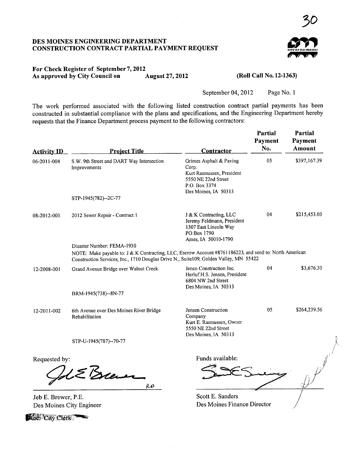### DES MOINES ENGINEERING DEPARTMENT CONSTRUCTION CONTRACT PARTIAL PAYMENT REQUEST



~o

# For Check Register of September 7, 2012<br>As approved by City Council on August 27, 2012 As approved by City Council on

(Roll Call No. 12-1363)

September 04, 2012 Page No.1

The work performed associated with the following listed construction contract partial payments has been constructed in substantial compliance with the plans and specifications, and the Engineering Department hereby requests that the Finance Department process payment to the following contractors:

| <b>Project Title</b>                                      | Contractor                                                                                            | Partial<br>Payment<br>No.                                                                   | <b>Partial</b><br>Payment<br>Amount                                                                                                                                                                                            |
|-----------------------------------------------------------|-------------------------------------------------------------------------------------------------------|---------------------------------------------------------------------------------------------|--------------------------------------------------------------------------------------------------------------------------------------------------------------------------------------------------------------------------------|
| S.W. 9th Street and DART Way Intersection<br>Improvements | Grimes Asphalt & Paving<br>Corp.<br>Kurt Rasmussen, President<br>5550 NE 22nd Street<br>P.O. Box 3374 | 05                                                                                          | \$397,167.39                                                                                                                                                                                                                   |
| STP-1945(782)--2C-77                                      |                                                                                                       |                                                                                             |                                                                                                                                                                                                                                |
| 2012 Sewer Repair - Contract 1                            | J & K Contracting, LLC<br>Jeremy Feldmann, President<br>1307 East Lincoln Way<br>PO Box 1790          | 04                                                                                          | \$215,453.03                                                                                                                                                                                                                   |
| Disaster Number: FEMA-1930                                |                                                                                                       |                                                                                             |                                                                                                                                                                                                                                |
|                                                           |                                                                                                       |                                                                                             |                                                                                                                                                                                                                                |
| Grand Avenue Bridge over Walnut Creek                     | Jenco Construction Inc.<br>Herluf H.S. Jensen, President<br>6804 NW 2nd Street                        | 04                                                                                          | \$3,676.30                                                                                                                                                                                                                     |
| BRM-1945(738)--8N-77                                      |                                                                                                       |                                                                                             |                                                                                                                                                                                                                                |
| 6th Avenue over Des Moines River Bridge<br>Rehabilitation | Jensen Construction<br>Company<br>Kurt E. Rasmussen, Owner<br>5550 NE 22nd Street                     | 05                                                                                          | \$264,239.56                                                                                                                                                                                                                   |
| STP-U-1945(787)--70-77                                    |                                                                                                       |                                                                                             |                                                                                                                                                                                                                                |
| Requested by:                                             | Funds available:                                                                                      |                                                                                             |                                                                                                                                                                                                                                |
| Jeb E. Brewer, P.E.                                       | Scott E. Sanders                                                                                      |                                                                                             |                                                                                                                                                                                                                                |
|                                                           | RB<br>Des Moines City Engineer                                                                        | Des Moines, IA 50313<br>Ames, IA 50010-1790<br>Des Moines, IA 50313<br>Des Moines, IA 50313 | NOTE: Make payable to: J & K Contracting, LLC, Escrow Account #8761186223, and send to: North American<br>Construction Services, Inc., 1710 Douglas Drive N., Suite109, Golden Valley, MN 55422<br>Des Moines Finance Director |

**1669 City Clerk**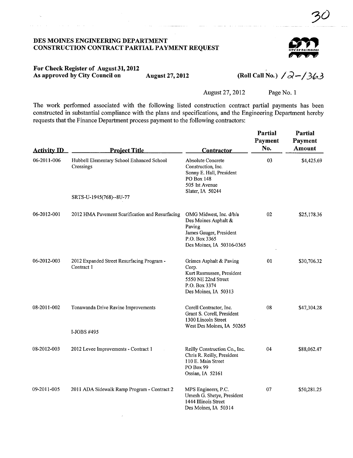### DES MOINES ENGINEERING DEPARTMENT CONSTRUCTION CONTRACT PARTIAL PAYMENT REQUEST



30

## For Check Register of August 31,2012 As approved by City Council on August 27, 2012

(Roll Call No.)  $\sqrt{2}$  -  $\sqrt{363}$ 

August 27,2012 Page No. I

The work performed associated with the following listed construction contract partial payments has been constructed in substantial compliance with the plans and specifications, and the Engineering Department hereby requests that the Finance Department process payment to the following contractors:

| <b>Activity ID</b> | <b>Project Title</b>                                     | <b>Contractor</b>                                                                                                                  | Partial<br>Payment<br>No. | Partial<br>Payment<br>Amount |
|--------------------|----------------------------------------------------------|------------------------------------------------------------------------------------------------------------------------------------|---------------------------|------------------------------|
| 06-2011-006        | Hubbell Elementary School Enhanced School<br>Crossings   | <b>Absolute Concrete</b><br>Construction, Inc.<br>Sonny E. Hall, President<br>PO Box 148<br>505 1st Avenue<br>Slater, IA 50244     | 03                        | \$4,425.69                   |
|                    | SRTS-U-1945(768)--8U-77                                  |                                                                                                                                    |                           |                              |
| 06-2012-001        | 2012 HMA Pavement Scarification and Resurfacing          | OMG Midwest, Inc. d/b/a<br>Des Moines Asphalt &<br>Paving<br>James Gauger, President<br>P.O. Box 3365<br>Des Moines, IA 50316-0365 | 02                        | \$25,178.36                  |
| 06-2012-003        | 2012 Expanded Street Resurfacing Program -<br>Contract 1 | Grimes Asphalt & Paving<br>Corp.<br>Kurt Rasmussen, President<br>5550 NE 22nd Street<br>P.O. Box 3374<br>Des Moines, IA 50313      | 01                        | \$30,706.32                  |
| 08-2011-002        | Tonawanda Drive Ravine Improvements<br>I-JOBS #495       | Corell Contractor, Inc.<br>Grant S. Corell, President<br>1300 Lincoln Street<br>West Des Moines, IA 50265                          | 08                        | \$47,304.28                  |
| 08-2012-003        | 2012 Levee Improvements - Contract 1                     | Reilly Construction Co., Inc.<br>Chris R. Reilly, President<br>110 E. Main Street<br>PO Box 99<br>Ossian, IA 52161                 | 04                        | \$88,062.47                  |
| 09-2011-005        | 2011 ADA Sidewalk Ramp Program - Contract 2              | MPS Engineers, P.C.<br>Umesh G. Shetye, President<br>1444 Illinois Street<br>Des Moines, IA 50314                                  | 07                        | \$50,281.25                  |